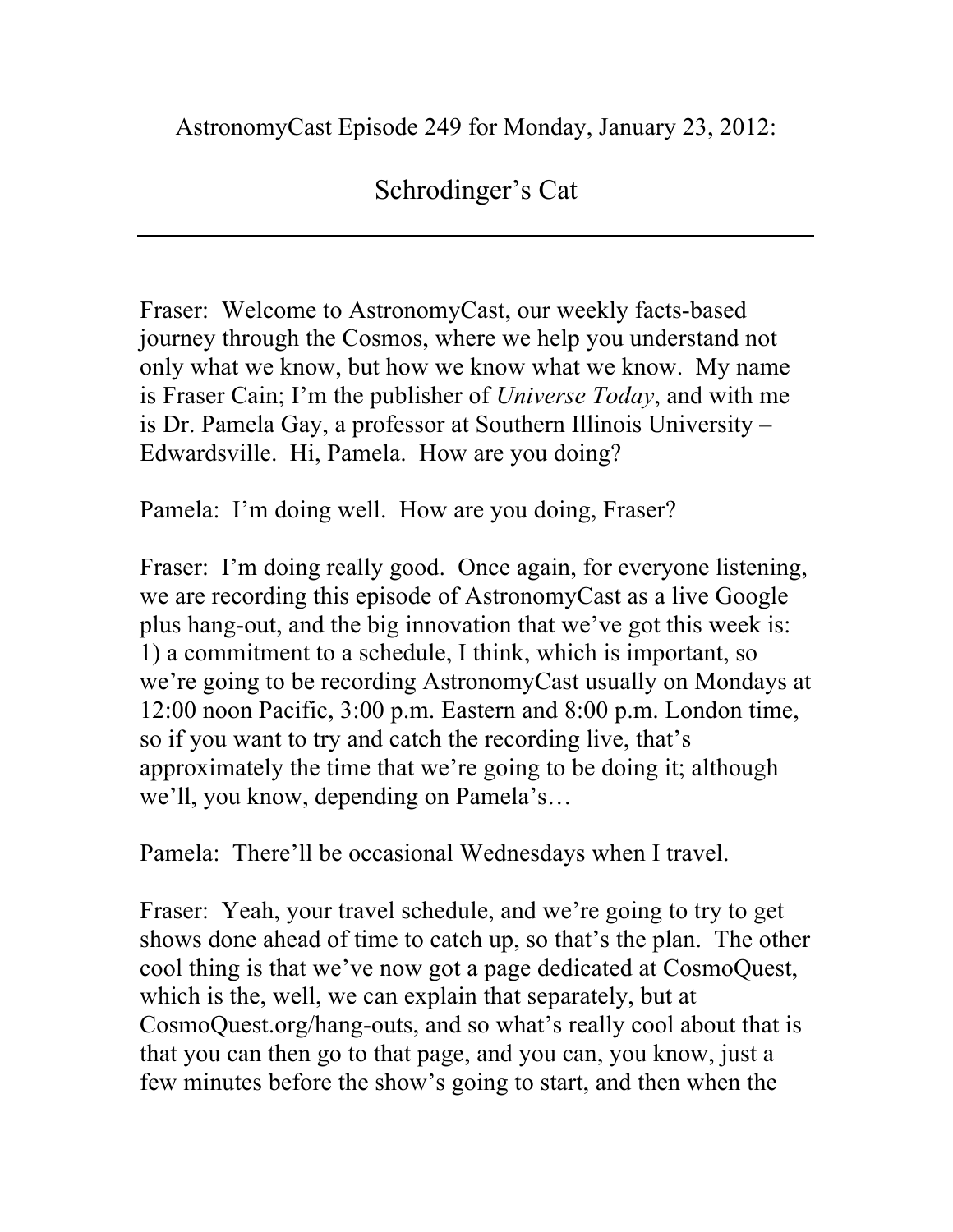AstronomyCast Episode 249 for Monday, January 23, 2012:

## Schrodinger's Cat

Fraser: Welcome to AstronomyCast, our weekly facts-based journey through the Cosmos, where we help you understand not only what we know, but how we know what we know. My name is Fraser Cain; I'm the publisher of *Universe Today*, and with me is Dr. Pamela Gay, a professor at Southern Illinois University – Edwardsville. Hi, Pamela. How are you doing?

Pamela: I'm doing well. How are you doing, Fraser?

Fraser: I'm doing really good. Once again, for everyone listening, we are recording this episode of AstronomyCast as a live Google plus hang-out, and the big innovation that we've got this week is: 1) a commitment to a schedule, I think, which is important, so we're going to be recording AstronomyCast usually on Mondays at 12:00 noon Pacific, 3:00 p.m. Eastern and 8:00 p.m. London time, so if you want to try and catch the recording live, that's approximately the time that we're going to be doing it; although we'll, you know, depending on Pamela's…

Pamela: There'll be occasional Wednesdays when I travel.

Fraser: Yeah, your travel schedule, and we're going to try to get shows done ahead of time to catch up, so that's the plan. The other cool thing is that we've now got a page dedicated at CosmoQuest, which is the, well, we can explain that separately, but at CosmoQuest.org/hang-outs, and so what's really cool about that is that you can then go to that page, and you can, you know, just a few minutes before the show's going to start, and then when the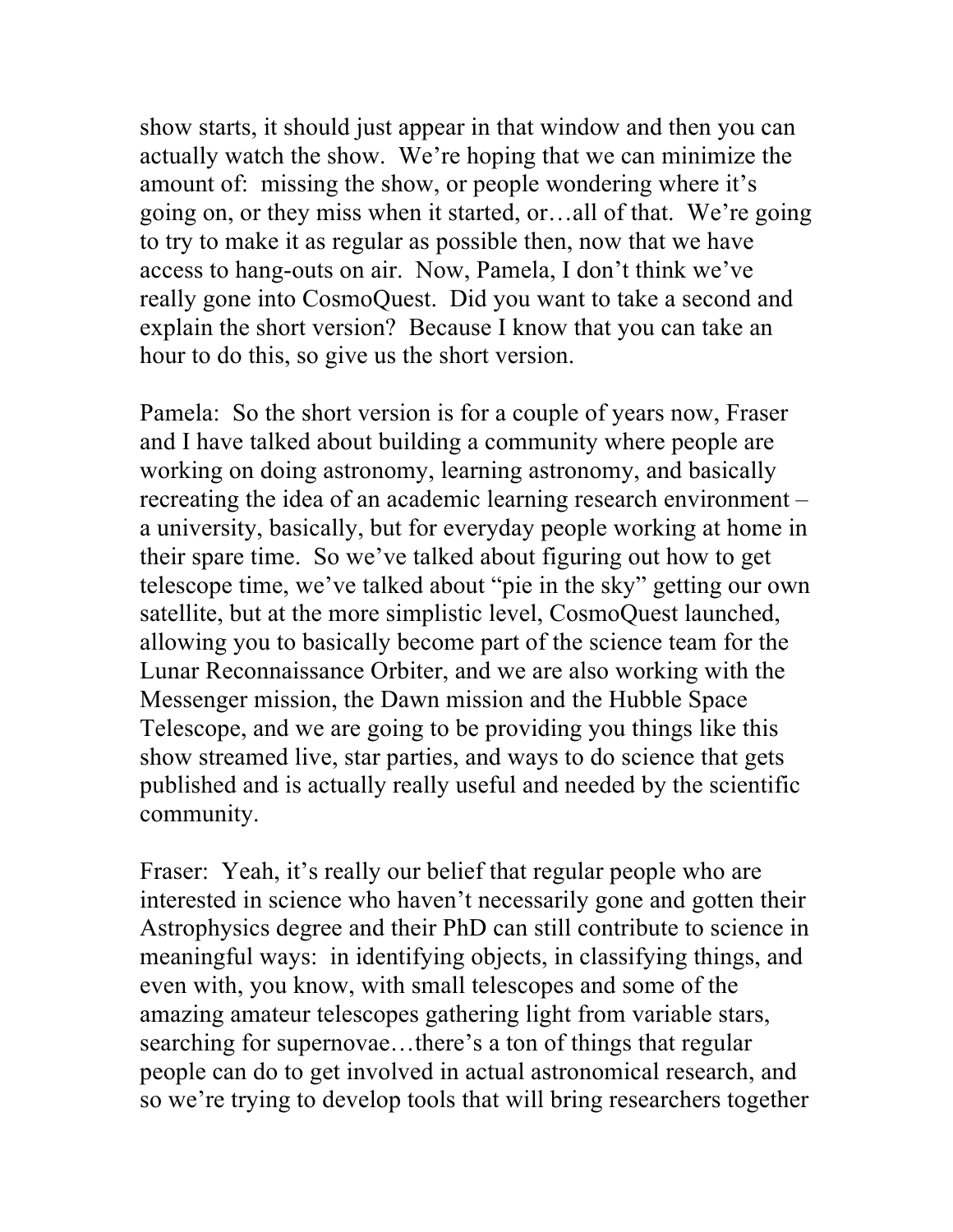show starts, it should just appear in that window and then you can actually watch the show. We're hoping that we can minimize the amount of: missing the show, or people wondering where it's going on, or they miss when it started, or…all of that. We're going to try to make it as regular as possible then, now that we have access to hang-outs on air. Now, Pamela, I don't think we've really gone into CosmoQuest. Did you want to take a second and explain the short version? Because I know that you can take an hour to do this, so give us the short version.

Pamela: So the short version is for a couple of years now, Fraser and I have talked about building a community where people are working on doing astronomy, learning astronomy, and basically recreating the idea of an academic learning research environment – a university, basically, but for everyday people working at home in their spare time. So we've talked about figuring out how to get telescope time, we've talked about "pie in the sky" getting our own satellite, but at the more simplistic level, CosmoQuest launched, allowing you to basically become part of the science team for the Lunar Reconnaissance Orbiter, and we are also working with the Messenger mission, the Dawn mission and the Hubble Space Telescope, and we are going to be providing you things like this show streamed live, star parties, and ways to do science that gets published and is actually really useful and needed by the scientific community.

Fraser: Yeah, it's really our belief that regular people who are interested in science who haven't necessarily gone and gotten their Astrophysics degree and their PhD can still contribute to science in meaningful ways: in identifying objects, in classifying things, and even with, you know, with small telescopes and some of the amazing amateur telescopes gathering light from variable stars, searching for supernovae…there's a ton of things that regular people can do to get involved in actual astronomical research, and so we're trying to develop tools that will bring researchers together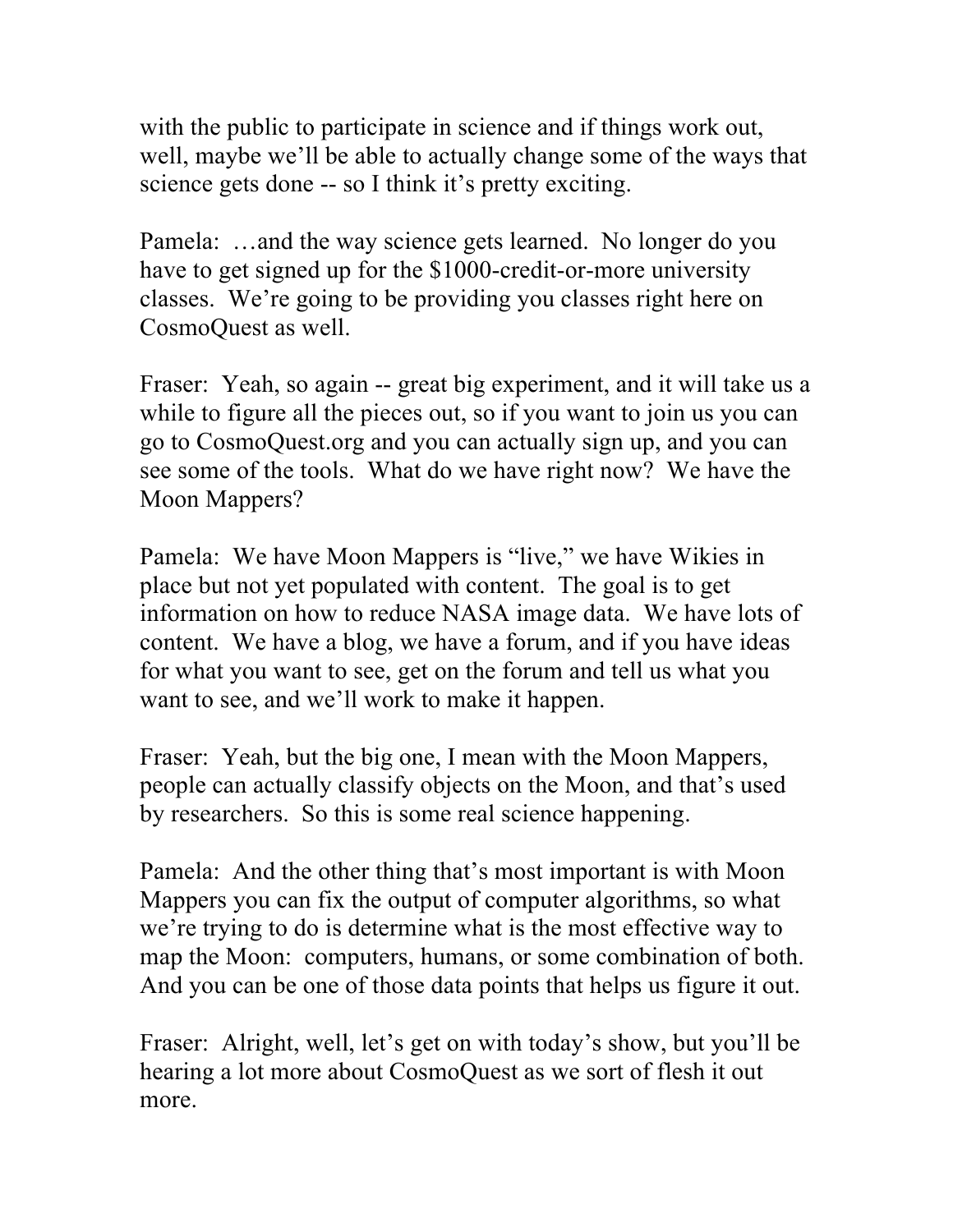with the public to participate in science and if things work out, well, maybe we'll be able to actually change some of the ways that science gets done -- so I think it's pretty exciting.

Pamela: …and the way science gets learned. No longer do you have to get signed up for the \$1000-credit-or-more university classes. We're going to be providing you classes right here on CosmoQuest as well.

Fraser: Yeah, so again -- great big experiment, and it will take us a while to figure all the pieces out, so if you want to join us you can go to CosmoQuest.org and you can actually sign up, and you can see some of the tools. What do we have right now? We have the Moon Mappers?

Pamela: We have Moon Mappers is "live," we have Wikies in place but not yet populated with content. The goal is to get information on how to reduce NASA image data. We have lots of content. We have a blog, we have a forum, and if you have ideas for what you want to see, get on the forum and tell us what you want to see, and we'll work to make it happen.

Fraser: Yeah, but the big one, I mean with the Moon Mappers, people can actually classify objects on the Moon, and that's used by researchers. So this is some real science happening.

Pamela: And the other thing that's most important is with Moon Mappers you can fix the output of computer algorithms, so what we're trying to do is determine what is the most effective way to map the Moon: computers, humans, or some combination of both. And you can be one of those data points that helps us figure it out.

Fraser: Alright, well, let's get on with today's show, but you'll be hearing a lot more about CosmoQuest as we sort of flesh it out more.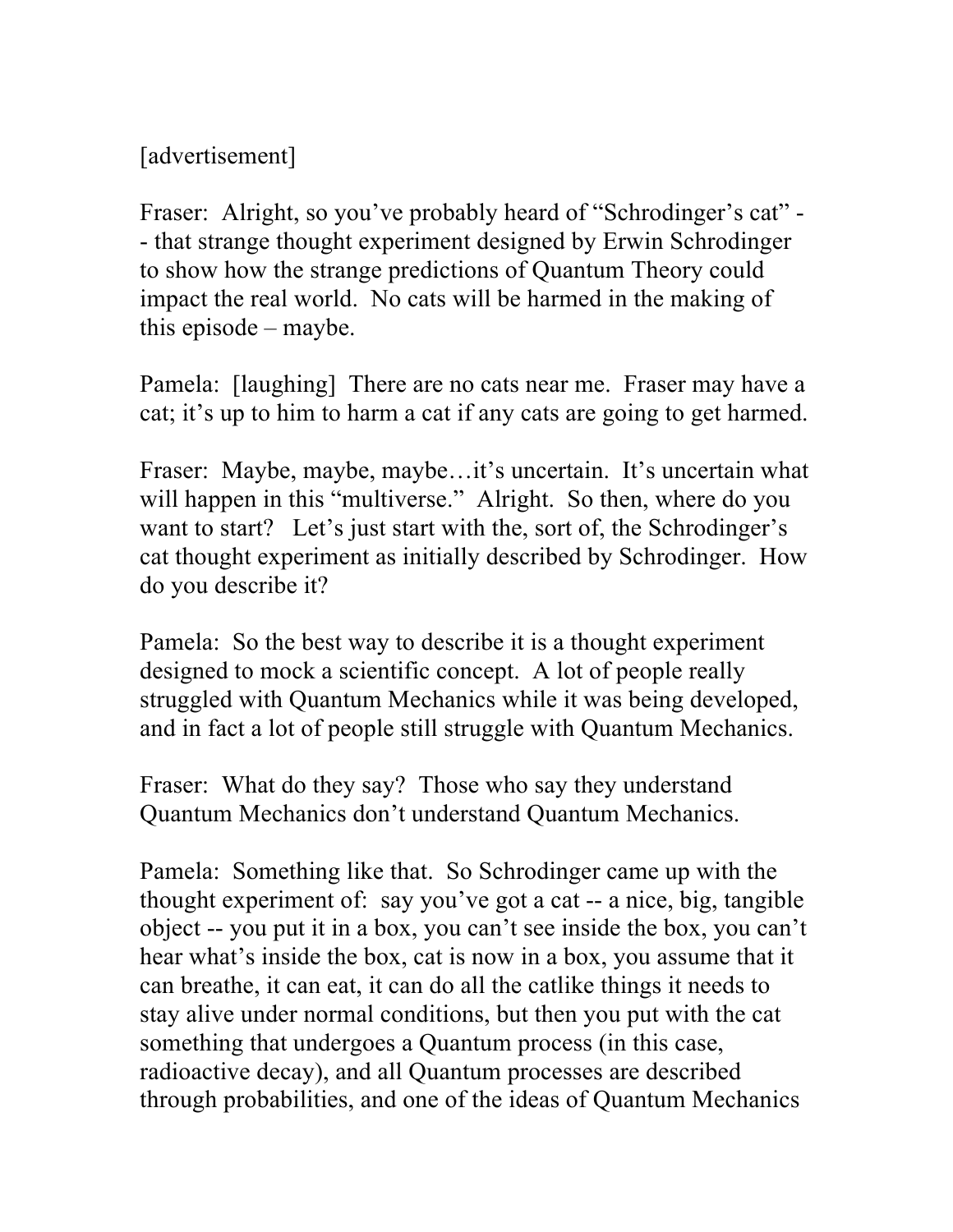[advertisement]

Fraser: Alright, so you've probably heard of "Schrodinger's cat" -- that strange thought experiment designed by Erwin Schrodinger to show how the strange predictions of Quantum Theory could impact the real world. No cats will be harmed in the making of this episode – maybe.

Pamela: [laughing] There are no cats near me. Fraser may have a cat; it's up to him to harm a cat if any cats are going to get harmed.

Fraser: Maybe, maybe, maybe...it's uncertain. It's uncertain what will happen in this "multiverse." Alright. So then, where do you want to start? Let's just start with the, sort of, the Schrodinger's cat thought experiment as initially described by Schrodinger. How do you describe it?

Pamela: So the best way to describe it is a thought experiment designed to mock a scientific concept. A lot of people really struggled with Quantum Mechanics while it was being developed, and in fact a lot of people still struggle with Quantum Mechanics.

Fraser: What do they say? Those who say they understand Quantum Mechanics don't understand Quantum Mechanics.

Pamela: Something like that. So Schrodinger came up with the thought experiment of: say you've got a cat -- a nice, big, tangible object -- you put it in a box, you can't see inside the box, you can't hear what's inside the box, cat is now in a box, you assume that it can breathe, it can eat, it can do all the catlike things it needs to stay alive under normal conditions, but then you put with the cat something that undergoes a Quantum process (in this case, radioactive decay), and all Quantum processes are described through probabilities, and one of the ideas of Quantum Mechanics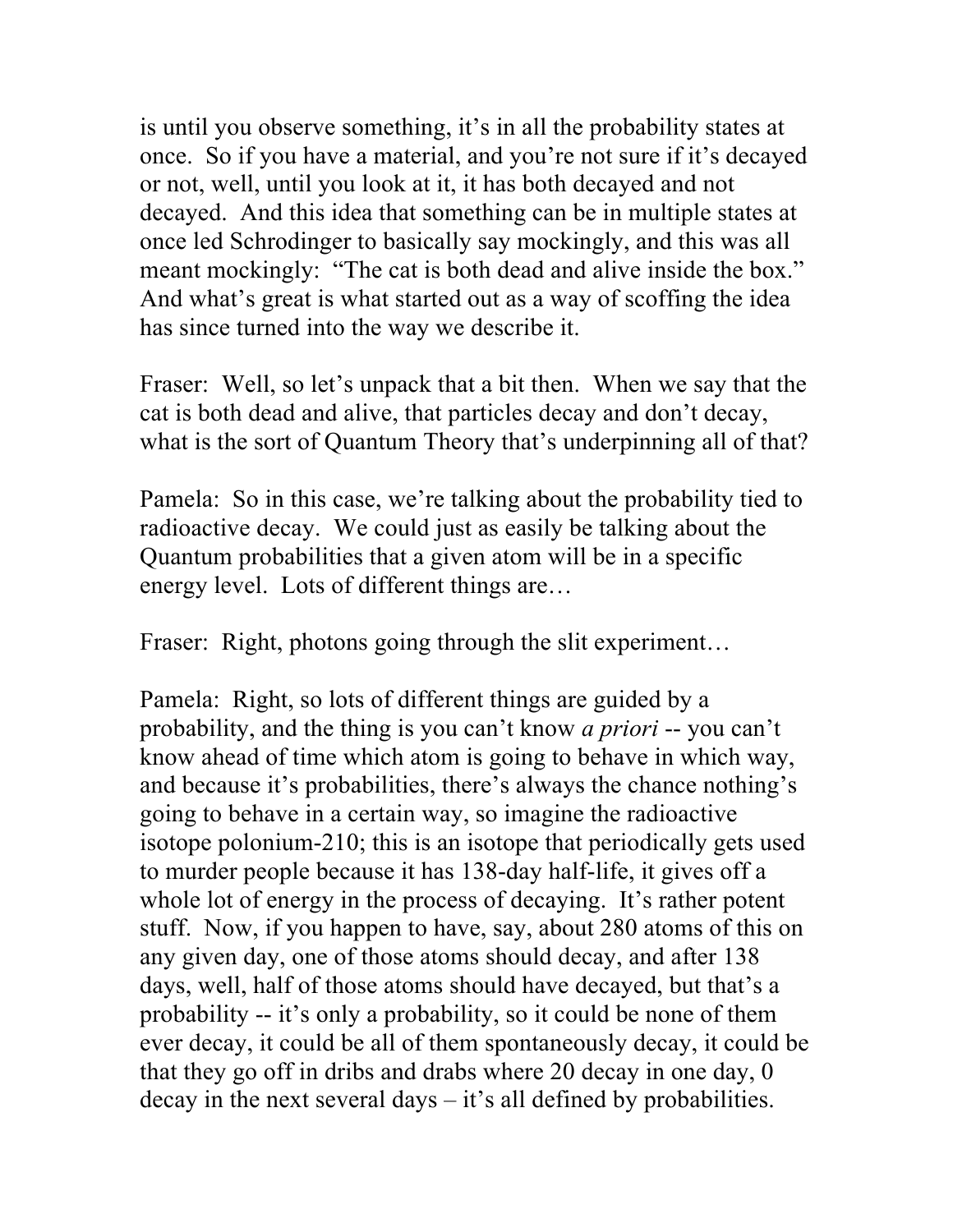is until you observe something, it's in all the probability states at once. So if you have a material, and you're not sure if it's decayed or not, well, until you look at it, it has both decayed and not decayed. And this idea that something can be in multiple states at once led Schrodinger to basically say mockingly, and this was all meant mockingly: "The cat is both dead and alive inside the box." And what's great is what started out as a way of scoffing the idea has since turned into the way we describe it.

Fraser: Well, so let's unpack that a bit then. When we say that the cat is both dead and alive, that particles decay and don't decay, what is the sort of Quantum Theory that's underpinning all of that?

Pamela: So in this case, we're talking about the probability tied to radioactive decay. We could just as easily be talking about the Quantum probabilities that a given atom will be in a specific energy level. Lots of different things are…

Fraser: Right, photons going through the slit experiment...

Pamela: Right, so lots of different things are guided by a probability, and the thing is you can't know *a priori* -- you can't know ahead of time which atom is going to behave in which way, and because it's probabilities, there's always the chance nothing's going to behave in a certain way, so imagine the radioactive isotope polonium-210; this is an isotope that periodically gets used to murder people because it has 138-day half-life, it gives off a whole lot of energy in the process of decaying. It's rather potent stuff. Now, if you happen to have, say, about 280 atoms of this on any given day, one of those atoms should decay, and after 138 days, well, half of those atoms should have decayed, but that's a probability -- it's only a probability, so it could be none of them ever decay, it could be all of them spontaneously decay, it could be that they go off in dribs and drabs where 20 decay in one day, 0 decay in the next several days – it's all defined by probabilities.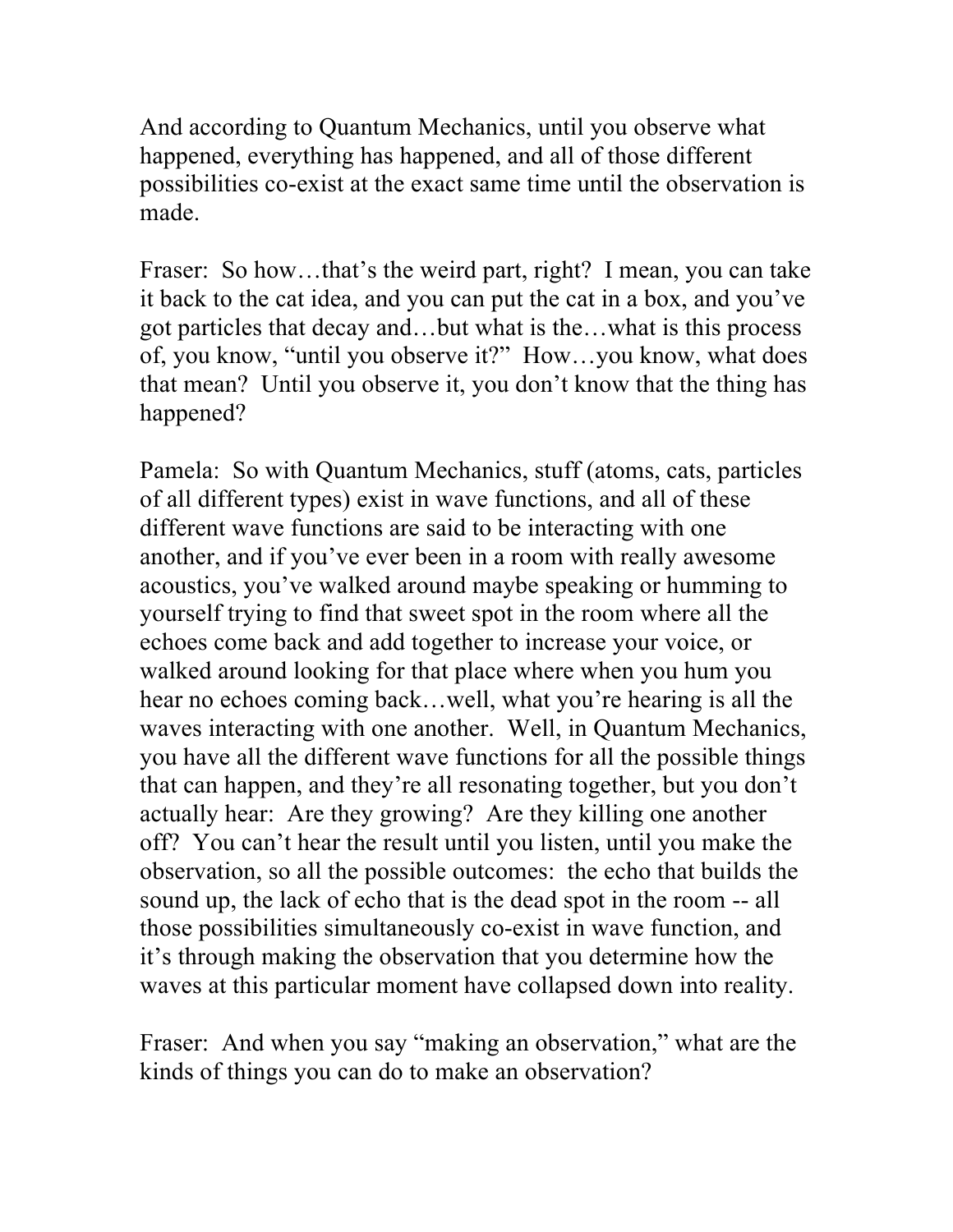And according to Quantum Mechanics, until you observe what happened, everything has happened, and all of those different possibilities co-exist at the exact same time until the observation is made.

Fraser: So how...that's the weird part, right? I mean, you can take it back to the cat idea, and you can put the cat in a box, and you've got particles that decay and…but what is the…what is this process of, you know, "until you observe it?" How…you know, what does that mean? Until you observe it, you don't know that the thing has happened?

Pamela: So with Quantum Mechanics, stuff (atoms, cats, particles of all different types) exist in wave functions, and all of these different wave functions are said to be interacting with one another, and if you've ever been in a room with really awesome acoustics, you've walked around maybe speaking or humming to yourself trying to find that sweet spot in the room where all the echoes come back and add together to increase your voice, or walked around looking for that place where when you hum you hear no echoes coming back...well, what you're hearing is all the waves interacting with one another. Well, in Quantum Mechanics, you have all the different wave functions for all the possible things that can happen, and they're all resonating together, but you don't actually hear: Are they growing? Are they killing one another off? You can't hear the result until you listen, until you make the observation, so all the possible outcomes: the echo that builds the sound up, the lack of echo that is the dead spot in the room -- all those possibilities simultaneously co-exist in wave function, and it's through making the observation that you determine how the waves at this particular moment have collapsed down into reality.

Fraser: And when you say "making an observation," what are the kinds of things you can do to make an observation?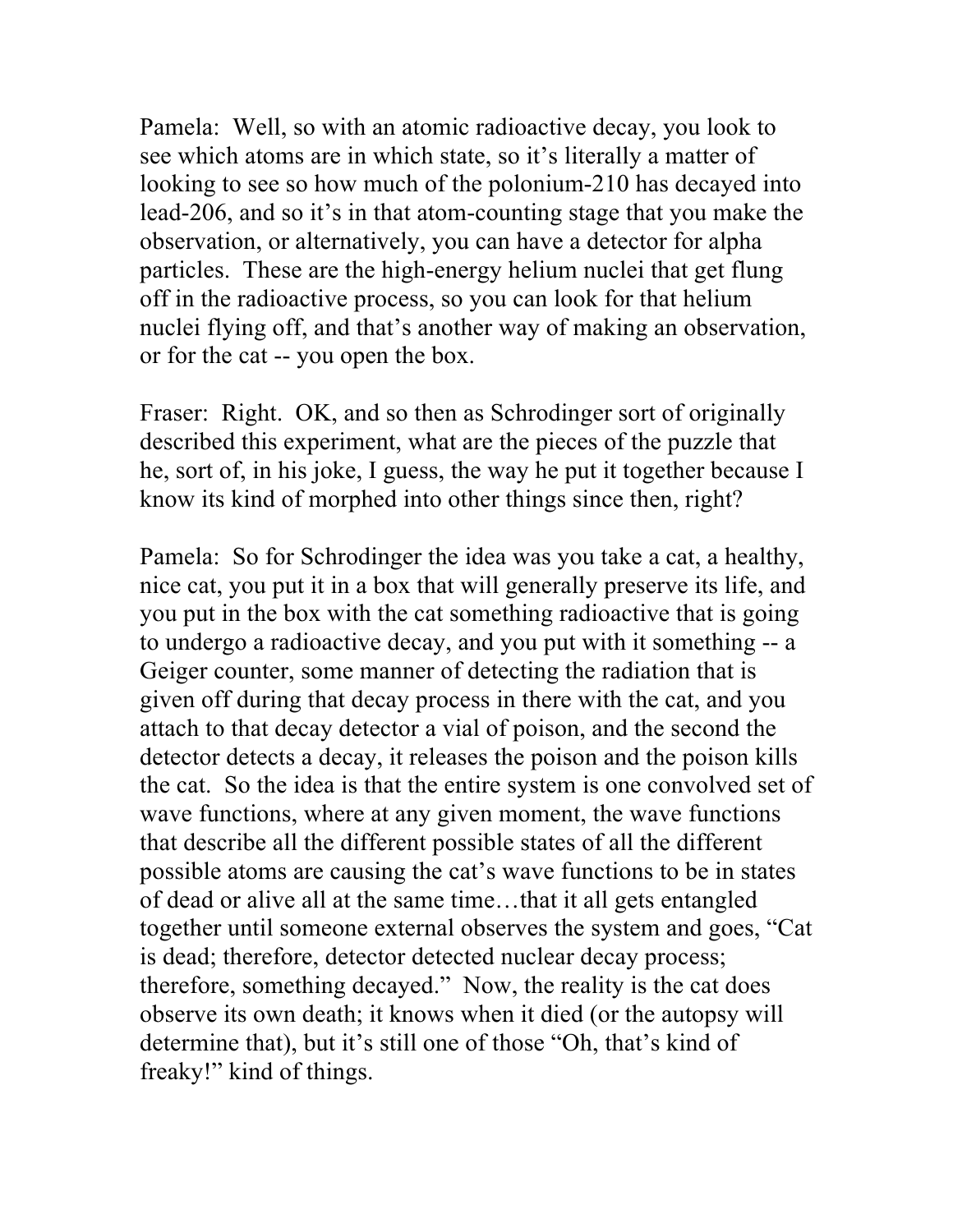Pamela: Well, so with an atomic radioactive decay, you look to see which atoms are in which state, so it's literally a matter of looking to see so how much of the polonium-210 has decayed into lead-206, and so it's in that atom-counting stage that you make the observation, or alternatively, you can have a detector for alpha particles. These are the high-energy helium nuclei that get flung off in the radioactive process, so you can look for that helium nuclei flying off, and that's another way of making an observation, or for the cat -- you open the box.

Fraser: Right. OK, and so then as Schrodinger sort of originally described this experiment, what are the pieces of the puzzle that he, sort of, in his joke, I guess, the way he put it together because I know its kind of morphed into other things since then, right?

Pamela: So for Schrodinger the idea was you take a cat, a healthy, nice cat, you put it in a box that will generally preserve its life, and you put in the box with the cat something radioactive that is going to undergo a radioactive decay, and you put with it something -- a Geiger counter, some manner of detecting the radiation that is given off during that decay process in there with the cat, and you attach to that decay detector a vial of poison, and the second the detector detects a decay, it releases the poison and the poison kills the cat. So the idea is that the entire system is one convolved set of wave functions, where at any given moment, the wave functions that describe all the different possible states of all the different possible atoms are causing the cat's wave functions to be in states of dead or alive all at the same time…that it all gets entangled together until someone external observes the system and goes, "Cat is dead; therefore, detector detected nuclear decay process; therefore, something decayed." Now, the reality is the cat does observe its own death; it knows when it died (or the autopsy will determine that), but it's still one of those "Oh, that's kind of freaky!" kind of things.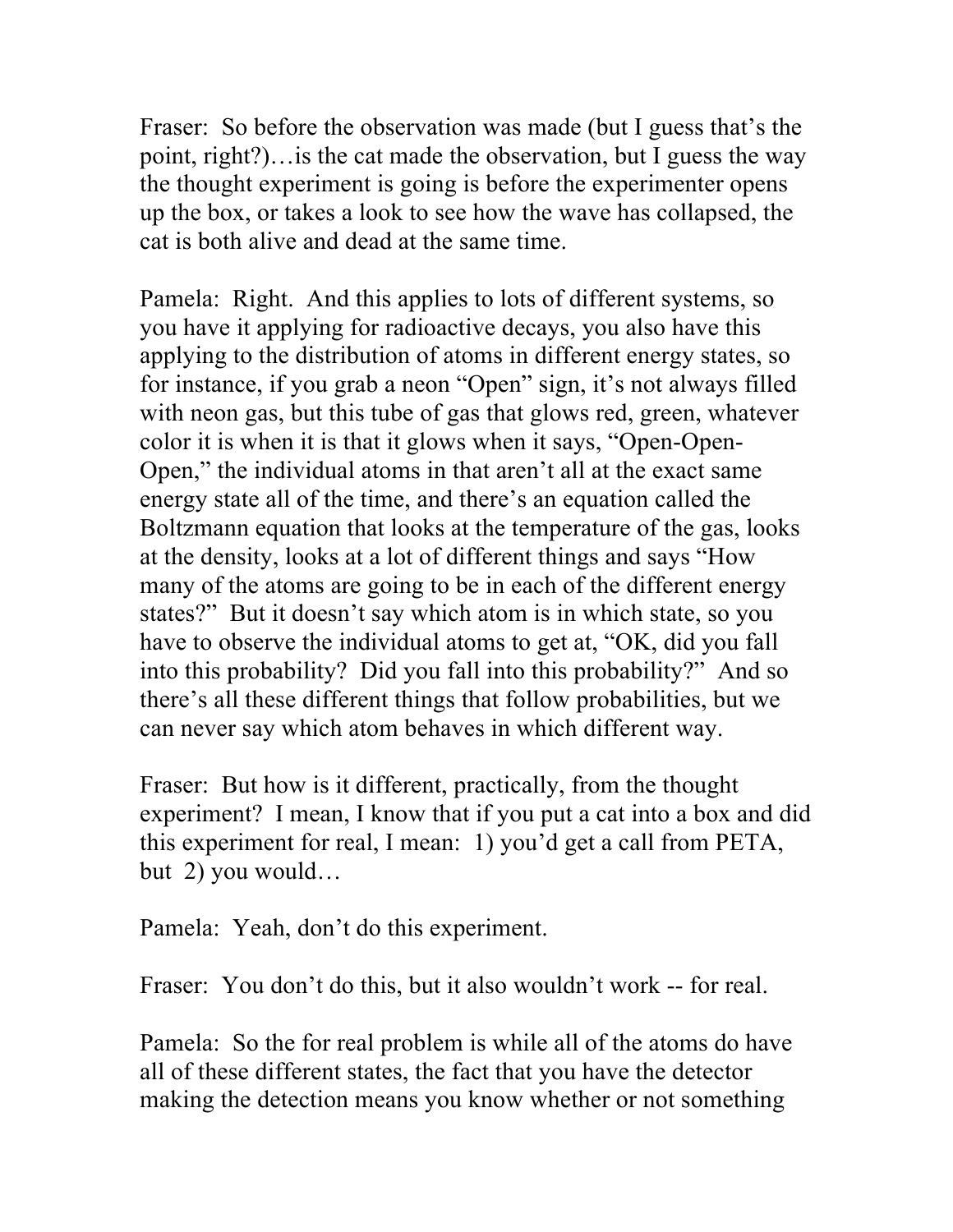Fraser: So before the observation was made (but I guess that's the point, right?)…is the cat made the observation, but I guess the way the thought experiment is going is before the experimenter opens up the box, or takes a look to see how the wave has collapsed, the cat is both alive and dead at the same time.

Pamela: Right. And this applies to lots of different systems, so you have it applying for radioactive decays, you also have this applying to the distribution of atoms in different energy states, so for instance, if you grab a neon "Open" sign, it's not always filled with neon gas, but this tube of gas that glows red, green, whatever color it is when it is that it glows when it says, "Open-Open-Open," the individual atoms in that aren't all at the exact same energy state all of the time, and there's an equation called the Boltzmann equation that looks at the temperature of the gas, looks at the density, looks at a lot of different things and says "How many of the atoms are going to be in each of the different energy states?" But it doesn't say which atom is in which state, so you have to observe the individual atoms to get at, "OK, did you fall into this probability? Did you fall into this probability?" And so there's all these different things that follow probabilities, but we can never say which atom behaves in which different way.

Fraser: But how is it different, practically, from the thought experiment? I mean, I know that if you put a cat into a box and did this experiment for real, I mean: 1) you'd get a call from PETA, but 2) you would…

Pamela: Yeah, don't do this experiment.

Fraser: You don't do this, but it also wouldn't work -- for real.

Pamela: So the for real problem is while all of the atoms do have all of these different states, the fact that you have the detector making the detection means you know whether or not something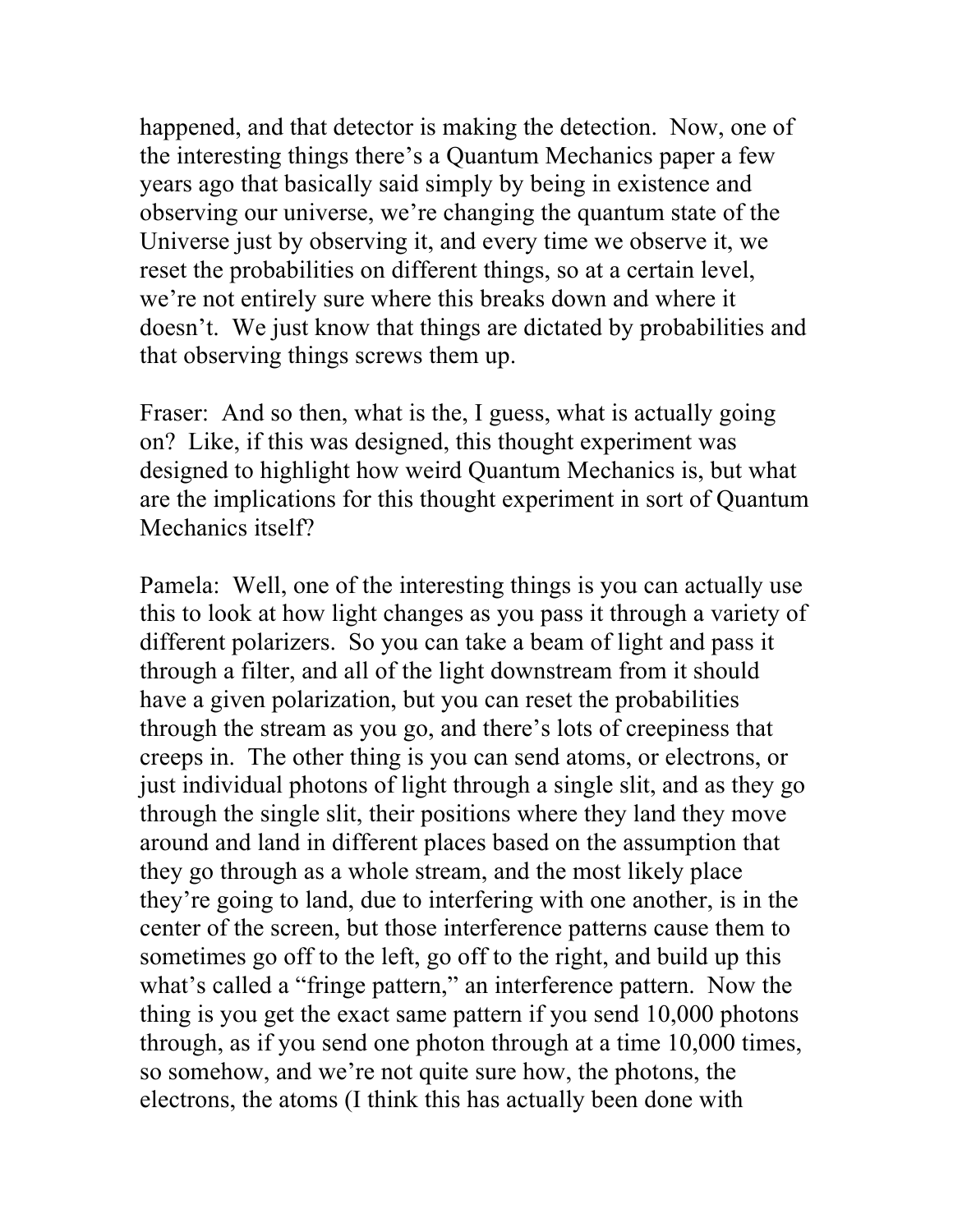happened, and that detector is making the detection. Now, one of the interesting things there's a Quantum Mechanics paper a few years ago that basically said simply by being in existence and observing our universe, we're changing the quantum state of the Universe just by observing it, and every time we observe it, we reset the probabilities on different things, so at a certain level, we're not entirely sure where this breaks down and where it doesn't. We just know that things are dictated by probabilities and that observing things screws them up.

Fraser: And so then, what is the, I guess, what is actually going on? Like, if this was designed, this thought experiment was designed to highlight how weird Quantum Mechanics is, but what are the implications for this thought experiment in sort of Quantum Mechanics itself?

Pamela: Well, one of the interesting things is you can actually use this to look at how light changes as you pass it through a variety of different polarizers. So you can take a beam of light and pass it through a filter, and all of the light downstream from it should have a given polarization, but you can reset the probabilities through the stream as you go, and there's lots of creepiness that creeps in. The other thing is you can send atoms, or electrons, or just individual photons of light through a single slit, and as they go through the single slit, their positions where they land they move around and land in different places based on the assumption that they go through as a whole stream, and the most likely place they're going to land, due to interfering with one another, is in the center of the screen, but those interference patterns cause them to sometimes go off to the left, go off to the right, and build up this what's called a "fringe pattern," an interference pattern. Now the thing is you get the exact same pattern if you send 10,000 photons through, as if you send one photon through at a time 10,000 times, so somehow, and we're not quite sure how, the photons, the electrons, the atoms (I think this has actually been done with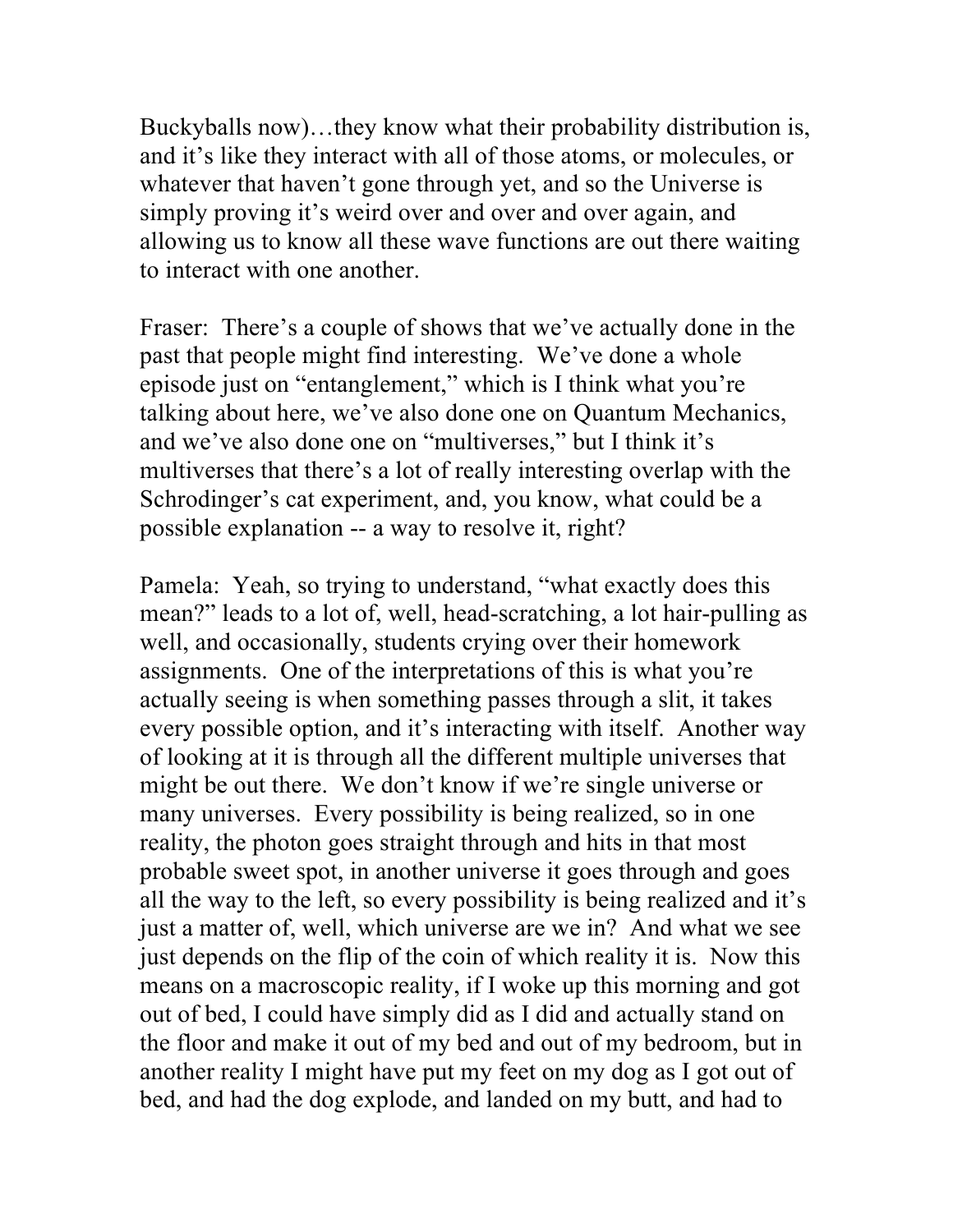Buckyballs now)…they know what their probability distribution is, and it's like they interact with all of those atoms, or molecules, or whatever that haven't gone through yet, and so the Universe is simply proving it's weird over and over and over again, and allowing us to know all these wave functions are out there waiting to interact with one another.

Fraser: There's a couple of shows that we've actually done in the past that people might find interesting. We've done a whole episode just on "entanglement," which is I think what you're talking about here, we've also done one on Quantum Mechanics, and we've also done one on "multiverses," but I think it's multiverses that there's a lot of really interesting overlap with the Schrodinger's cat experiment, and, you know, what could be a possible explanation -- a way to resolve it, right?

Pamela: Yeah, so trying to understand, "what exactly does this mean?" leads to a lot of, well, head-scratching, a lot hair-pulling as well, and occasionally, students crying over their homework assignments. One of the interpretations of this is what you're actually seeing is when something passes through a slit, it takes every possible option, and it's interacting with itself. Another way of looking at it is through all the different multiple universes that might be out there. We don't know if we're single universe or many universes. Every possibility is being realized, so in one reality, the photon goes straight through and hits in that most probable sweet spot, in another universe it goes through and goes all the way to the left, so every possibility is being realized and it's just a matter of, well, which universe are we in? And what we see just depends on the flip of the coin of which reality it is. Now this means on a macroscopic reality, if I woke up this morning and got out of bed, I could have simply did as I did and actually stand on the floor and make it out of my bed and out of my bedroom, but in another reality I might have put my feet on my dog as I got out of bed, and had the dog explode, and landed on my butt, and had to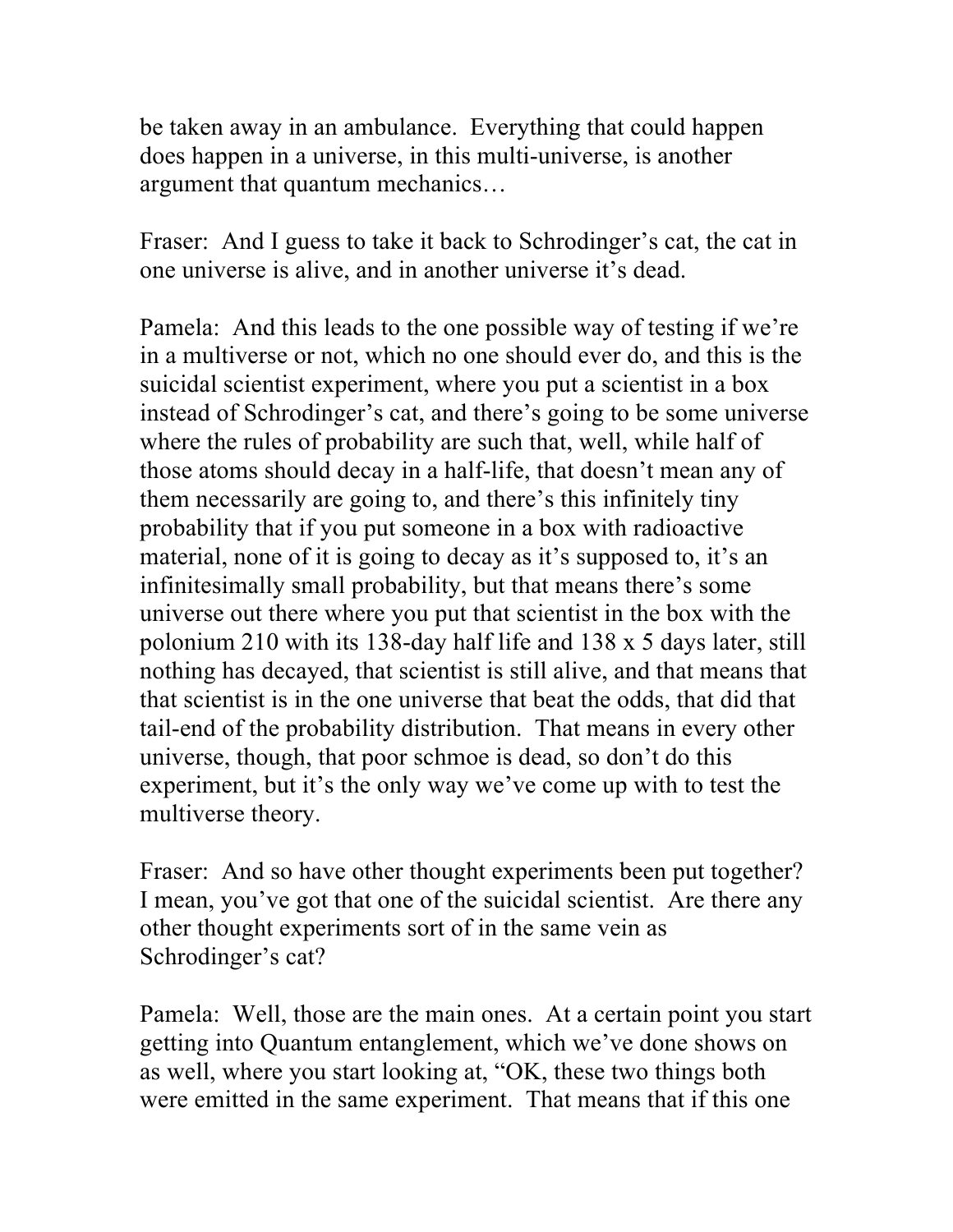be taken away in an ambulance. Everything that could happen does happen in a universe, in this multi-universe, is another argument that quantum mechanics…

Fraser: And I guess to take it back to Schrodinger's cat, the cat in one universe is alive, and in another universe it's dead.

Pamela: And this leads to the one possible way of testing if we're in a multiverse or not, which no one should ever do, and this is the suicidal scientist experiment, where you put a scientist in a box instead of Schrodinger's cat, and there's going to be some universe where the rules of probability are such that, well, while half of those atoms should decay in a half-life, that doesn't mean any of them necessarily are going to, and there's this infinitely tiny probability that if you put someone in a box with radioactive material, none of it is going to decay as it's supposed to, it's an infinitesimally small probability, but that means there's some universe out there where you put that scientist in the box with the polonium 210 with its 138-day half life and 138 x 5 days later, still nothing has decayed, that scientist is still alive, and that means that that scientist is in the one universe that beat the odds, that did that tail-end of the probability distribution. That means in every other universe, though, that poor schmoe is dead, so don't do this experiment, but it's the only way we've come up with to test the multiverse theory.

Fraser: And so have other thought experiments been put together? I mean, you've got that one of the suicidal scientist. Are there any other thought experiments sort of in the same vein as Schrodinger's cat?

Pamela: Well, those are the main ones. At a certain point you start getting into Quantum entanglement, which we've done shows on as well, where you start looking at, "OK, these two things both were emitted in the same experiment. That means that if this one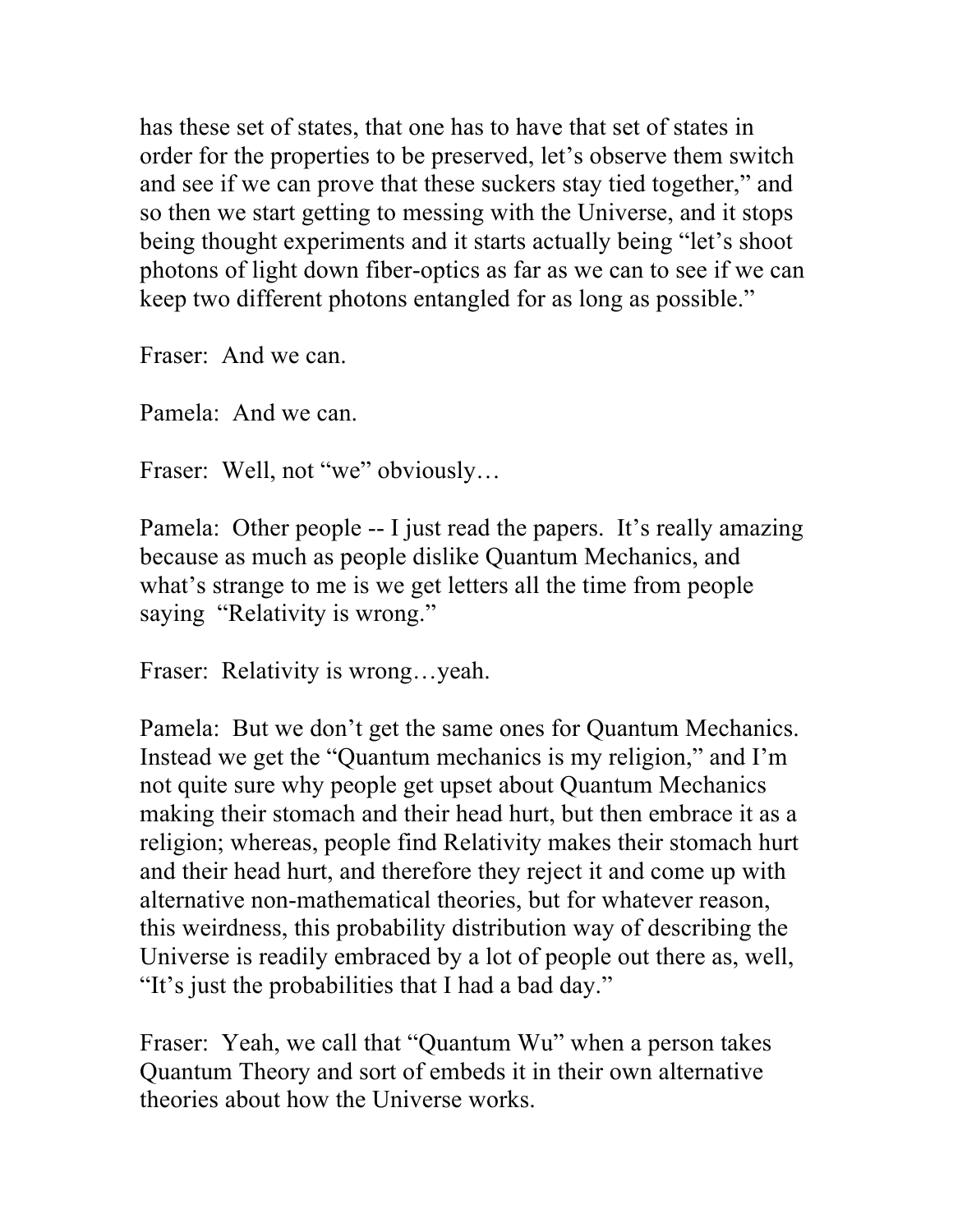has these set of states, that one has to have that set of states in order for the properties to be preserved, let's observe them switch and see if we can prove that these suckers stay tied together," and so then we start getting to messing with the Universe, and it stops being thought experiments and it starts actually being "let's shoot photons of light down fiber-optics as far as we can to see if we can keep two different photons entangled for as long as possible."

Fraser: And we can.

Pamela: And we can.

Fraser: Well, not "we" obviously...

Pamela: Other people -- I just read the papers. It's really amazing because as much as people dislike Quantum Mechanics, and what's strange to me is we get letters all the time from people saying "Relativity is wrong."

Fraser: Relativity is wrong…yeah.

Pamela: But we don't get the same ones for Quantum Mechanics. Instead we get the "Quantum mechanics is my religion," and I'm not quite sure why people get upset about Quantum Mechanics making their stomach and their head hurt, but then embrace it as a religion; whereas, people find Relativity makes their stomach hurt and their head hurt, and therefore they reject it and come up with alternative non-mathematical theories, but for whatever reason, this weirdness, this probability distribution way of describing the Universe is readily embraced by a lot of people out there as, well, "It's just the probabilities that I had a bad day."

Fraser: Yeah, we call that "Quantum Wu" when a person takes Quantum Theory and sort of embeds it in their own alternative theories about how the Universe works.